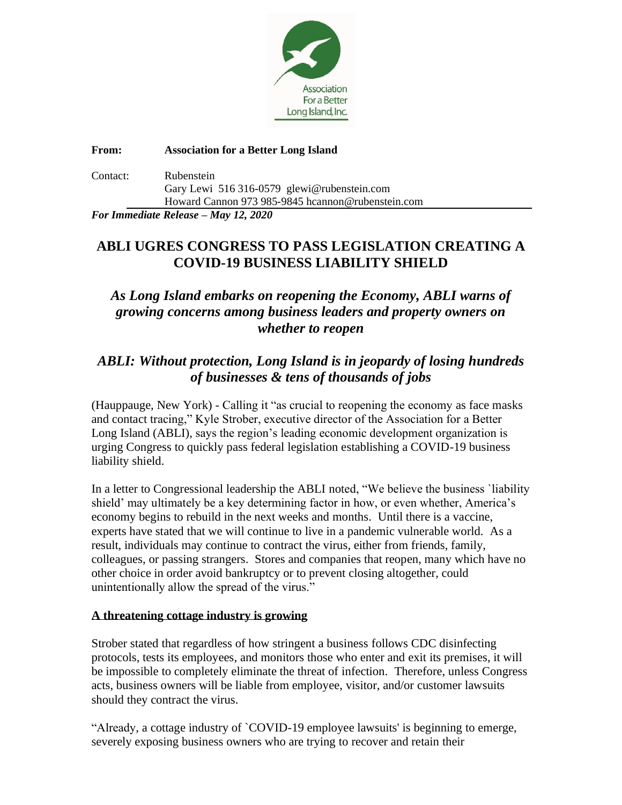

**From: Association for a Better Long Island**

| Contact: | Rubenstein                                        |
|----------|---------------------------------------------------|
|          | Gary Lewi 516 316-0579 glewi@rubenstein.com       |
|          | Howard Cannon 973 985-9845 heannon@rubenstein.com |
|          |                                                   |

*For Immediate Release – May 12, 2020*

## **ABLI UGRES CONGRESS TO PASS LEGISLATION CREATING A COVID-19 BUSINESS LIABILITY SHIELD**

## *As Long Island embarks on reopening the Economy, ABLI warns of growing concerns among business leaders and property owners on whether to reopen*

## *ABLI: Without protection, Long Island is in jeopardy of losing hundreds of businesses & tens of thousands of jobs*

(Hauppauge, New York) - Calling it "as crucial to reopening the economy as face masks and contact tracing," Kyle Strober, executive director of the Association for a Better Long Island (ABLI), says the region's leading economic development organization is urging Congress to quickly pass federal legislation establishing a COVID-19 business liability shield.

In a letter to Congressional leadership the ABLI noted, "We believe the business `liability shield' may ultimately be a key determining factor in how, or even whether, America's economy begins to rebuild in the next weeks and months. Until there is a vaccine, experts have stated that we will continue to live in a pandemic vulnerable world. As a result, individuals may continue to contract the virus, either from friends, family, colleagues, or passing strangers. Stores and companies that reopen, many which have no other choice in order avoid bankruptcy or to prevent closing altogether, could unintentionally allow the spread of the virus."

## **A threatening cottage industry is growing**

Strober stated that regardless of how stringent a business follows CDC disinfecting protocols, tests its employees, and monitors those who enter and exit its premises, it will be impossible to completely eliminate the threat of infection. Therefore, unless Congress acts, business owners will be liable from employee, visitor, and/or customer lawsuits should they contract the virus.

"Already, a cottage industry of `COVID-19 employee lawsuits' is beginning to emerge, severely exposing business owners who are trying to recover and retain their